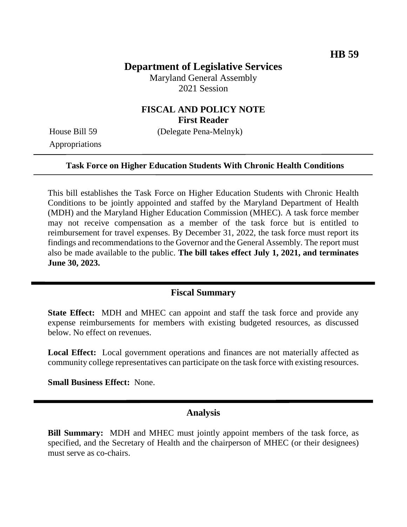# **Department of Legislative Services**

Maryland General Assembly 2021 Session

## **FISCAL AND POLICY NOTE First Reader**

Appropriations

House Bill 59 (Delegate Pena-Melnyk)

#### **Task Force on Higher Education Students With Chronic Health Conditions**

This bill establishes the Task Force on Higher Education Students with Chronic Health Conditions to be jointly appointed and staffed by the Maryland Department of Health (MDH) and the Maryland Higher Education Commission (MHEC). A task force member may not receive compensation as a member of the task force but is entitled to reimbursement for travel expenses. By December 31, 2022, the task force must report its findings and recommendations to the Governor and the General Assembly. The report must also be made available to the public. **The bill takes effect July 1, 2021, and terminates June 30, 2023.** 

### **Fiscal Summary**

**State Effect:** MDH and MHEC can appoint and staff the task force and provide any expense reimbursements for members with existing budgeted resources, as discussed below. No effect on revenues.

**Local Effect:** Local government operations and finances are not materially affected as community college representatives can participate on the task force with existing resources.

**Small Business Effect:** None.

## **Analysis**

**Bill Summary:** MDH and MHEC must jointly appoint members of the task force, as specified, and the Secretary of Health and the chairperson of MHEC (or their designees) must serve as co-chairs.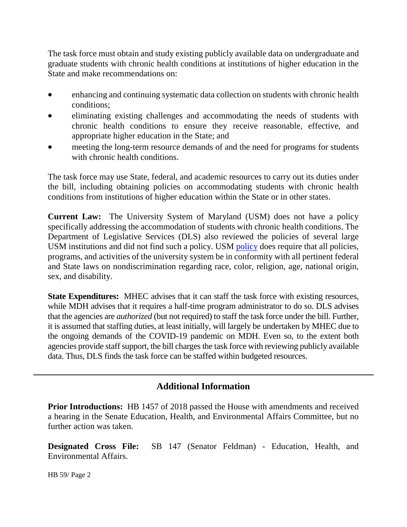The task force must obtain and study existing publicly available data on undergraduate and graduate students with chronic health conditions at institutions of higher education in the State and make recommendations on:

- enhancing and continuing systematic data collection on students with chronic health conditions;
- eliminating existing challenges and accommodating the needs of students with chronic health conditions to ensure they receive reasonable, effective, and appropriate higher education in the State; and
- meeting the long-term resource demands of and the need for programs for students with chronic health conditions.

The task force may use State, federal, and academic resources to carry out its duties under the bill, including obtaining policies on accommodating students with chronic health conditions from institutions of higher education within the State or in other states.

**Current Law:** The University System of Maryland (USM) does not have a policy specifically addressing the accommodation of students with chronic health conditions. The Department of Legislative Services (DLS) also reviewed the policies of several large USM institutions and did not find such a policy. USM [policy](http://www.usmd.edu/regents/bylaws/SectionVI/VI100.html) does require that all policies, programs, and activities of the university system be in conformity with all pertinent federal and State laws on nondiscrimination regarding race, color, religion, age, national origin, sex, and disability.

**State Expenditures:** MHEC advises that it can staff the task force with existing resources, while MDH advises that it requires a half-time program administrator to do so. DLS advises that the agencies are *authorized* (but not required) to staff the task force under the bill. Further, it is assumed that staffing duties, at least initially, will largely be undertaken by MHEC due to the ongoing demands of the COVID-19 pandemic on MDH. Even so, to the extent both agencies provide staff support, the bill charges the task force with reviewing publicly available data. Thus, DLS finds the task force can be staffed within budgeted resources.

# **Additional Information**

**Prior Introductions:** HB 1457 of 2018 passed the House with amendments and received a hearing in the Senate Education, Health, and Environmental Affairs Committee, but no further action was taken.

**Designated Cross File:** SB 147 (Senator Feldman) - Education, Health, and Environmental Affairs.